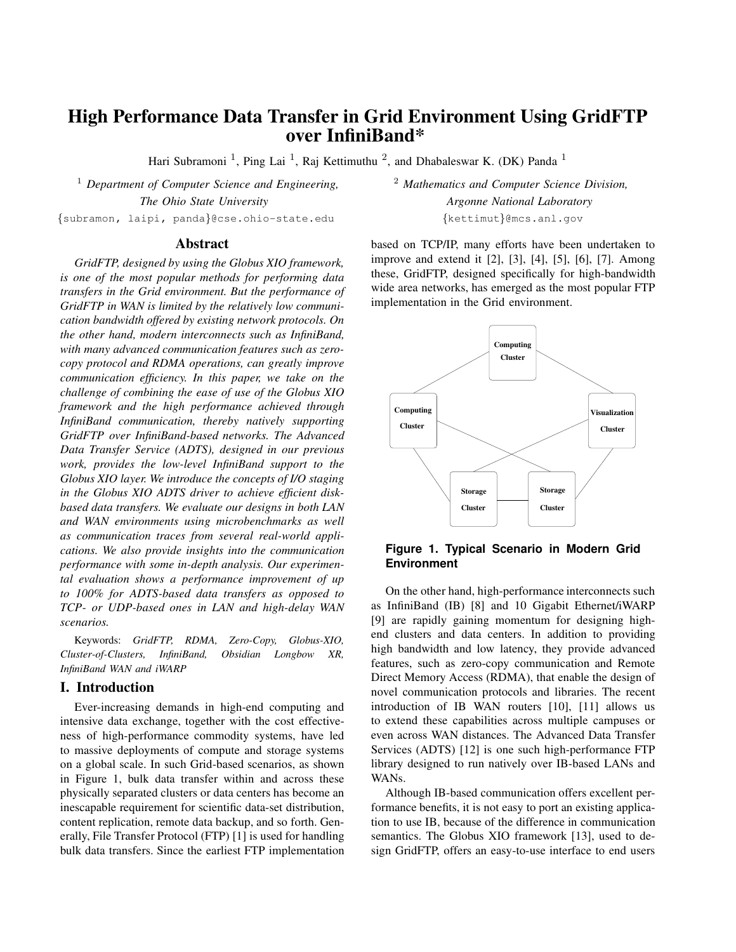# **High Performance Data Transfer in Grid Environment Using GridFTP over InfiniBand\***

Hari Subramoni<sup>1</sup>, Ping Lai<sup>1</sup>, Raj Kettimuthu<sup>2</sup>, and Dhabaleswar K. (DK) Panda<sup>1</sup>

<sup>1</sup> *Department of Computer Science and Engineering,* <sup>2</sup> *Mathematics and Computer Science Division, The Ohio State University Argonne National Laboratory* {subramon, laipi, panda}@cse.ohio-state.edu {kettimut}@mcs.anl.gov

# **Abstract**

*GridFTP, designed by using the Globus XIO framework, is one of the most popular methods for performing data transfers in the Grid environment. But the performance of GridFTP in WAN is limited by the relatively low communication bandwidth offered by existing network protocols. On the other hand, modern interconnects such as InfiniBand, with many advanced communication features such as zerocopy protocol and RDMA operations, can greatly improve communication efficiency. In this paper, we take on the challenge of combining the ease of use of the Globus XIO framework and the high performance achieved through InfiniBand communication, thereby natively supporting GridFTP over InfiniBand-based networks. The Advanced Data Transfer Service (ADTS), designed in our previous work, provides the low-level InfiniBand support to the Globus XIO layer. We introduce the concepts of I/O staging in the Globus XIO ADTS driver to achieve efficient diskbased data transfers. We evaluate our designs in both LAN and WAN environments using microbenchmarks as well as communication traces from several real-world applications. We also provide insights into the communication performance with some in-depth analysis. Our experimental evaluation shows a performance improvement of up to 100% for ADTS-based data transfers as opposed to TCP- or UDP-based ones in LAN and high-delay WAN scenarios.*

Keywords: *GridFTP, RDMA, Zero-Copy, Globus-XIO, Cluster-of-Clusters, InfiniBand, Obsidian Longbow XR, InfiniBand WAN and iWARP*

# **I. Introduction**

Ever-increasing demands in high-end computing and intensive data exchange, together with the cost effectiveness of high-performance commodity systems, have led to massive deployments of compute and storage systems on a global scale. In such Grid-based scenarios, as shown in Figure 1, bulk data transfer within and across these physically separated clusters or data centers has become an inescapable requirement for scientific data-set distribution, content replication, remote data backup, and so forth. Generally, File Transfer Protocol (FTP) [1] is used for handling bulk data transfers. Since the earliest FTP implementation based on TCP/IP, many efforts have been undertaken to improve and extend it [2], [3], [4], [5], [6], [7]. Among these, GridFTP, designed specifically for high-bandwidth wide area networks, has emerged as the most popular FTP implementation in the Grid environment.



**Figure 1. Typical Scenario in Modern Grid Environment**

On the other hand, high-performance interconnects such as InfiniBand (IB) [8] and 10 Gigabit Ethernet/iWARP [9] are rapidly gaining momentum for designing highend clusters and data centers. In addition to providing high bandwidth and low latency, they provide advanced features, such as zero-copy communication and Remote Direct Memory Access (RDMA), that enable the design of novel communication protocols and libraries. The recent introduction of IB WAN routers [10], [11] allows us to extend these capabilities across multiple campuses or even across WAN distances. The Advanced Data Transfer Services (ADTS) [12] is one such high-performance FTP library designed to run natively over IB-based LANs and WANs.

Although IB-based communication offers excellent performance benefits, it is not easy to port an existing application to use IB, because of the difference in communication semantics. The Globus XIO framework [13], used to design GridFTP, offers an easy-to-use interface to end users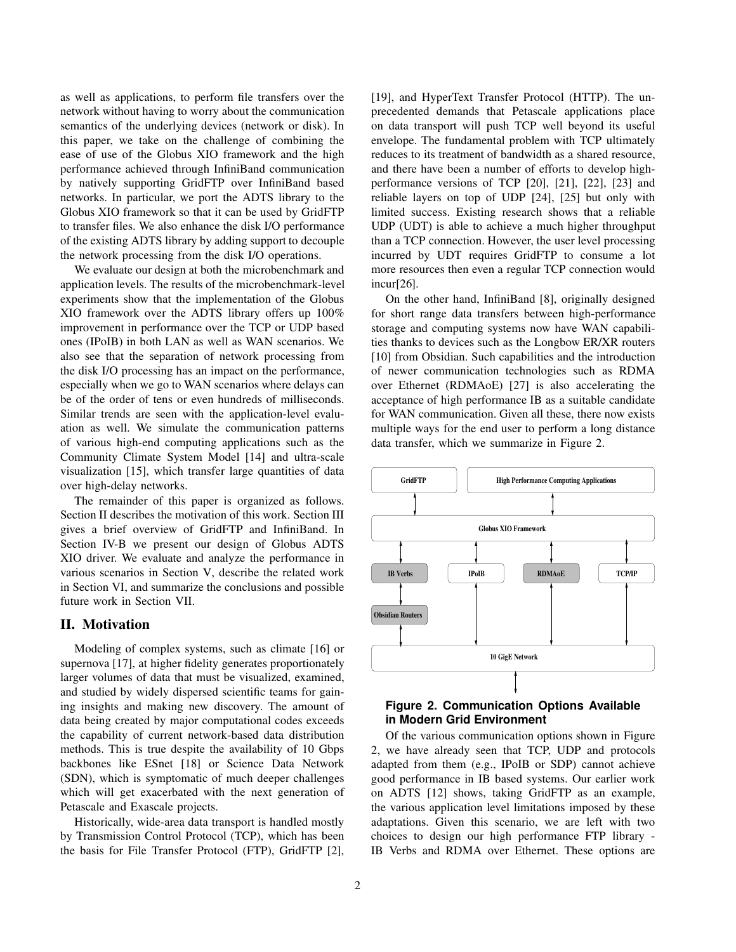as well as applications, to perform file transfers over the network without having to worry about the communication semantics of the underlying devices (network or disk). In this paper, we take on the challenge of combining the ease of use of the Globus XIO framework and the high performance achieved through InfiniBand communication by natively supporting GridFTP over InfiniBand based networks. In particular, we port the ADTS library to the Globus XIO framework so that it can be used by GridFTP to transfer files. We also enhance the disk I/O performance of the existing ADTS library by adding support to decouple the network processing from the disk I/O operations.

We evaluate our design at both the microbenchmark and application levels. The results of the microbenchmark-level experiments show that the implementation of the Globus XIO framework over the ADTS library offers up 100% improvement in performance over the TCP or UDP based ones (IPoIB) in both LAN as well as WAN scenarios. We also see that the separation of network processing from the disk I/O processing has an impact on the performance, especially when we go to WAN scenarios where delays can be of the order of tens or even hundreds of milliseconds. Similar trends are seen with the application-level evaluation as well. We simulate the communication patterns of various high-end computing applications such as the Community Climate System Model [14] and ultra-scale visualization [15], which transfer large quantities of data over high-delay networks.

The remainder of this paper is organized as follows. Section II describes the motivation of this work. Section III gives a brief overview of GridFTP and InfiniBand. In Section IV-B we present our design of Globus ADTS XIO driver. We evaluate and analyze the performance in various scenarios in Section V, describe the related work in Section VI, and summarize the conclusions and possible future work in Section VII.

## **II. Motivation**

Modeling of complex systems, such as climate [16] or supernova [17], at higher fidelity generates proportionately larger volumes of data that must be visualized, examined, and studied by widely dispersed scientific teams for gaining insights and making new discovery. The amount of data being created by major computational codes exceeds the capability of current network-based data distribution methods. This is true despite the availability of 10 Gbps backbones like ESnet [18] or Science Data Network (SDN), which is symptomatic of much deeper challenges which will get exacerbated with the next generation of Petascale and Exascale projects.

Historically, wide-area data transport is handled mostly by Transmission Control Protocol (TCP), which has been the basis for File Transfer Protocol (FTP), GridFTP [2],

[19], and HyperText Transfer Protocol (HTTP). The unprecedented demands that Petascale applications place on data transport will push TCP well beyond its useful envelope. The fundamental problem with TCP ultimately reduces to its treatment of bandwidth as a shared resource, and there have been a number of efforts to develop highperformance versions of TCP [20], [21], [22], [23] and reliable layers on top of UDP [24], [25] but only with limited success. Existing research shows that a reliable UDP (UDT) is able to achieve a much higher throughput than a TCP connection. However, the user level processing incurred by UDT requires GridFTP to consume a lot more resources then even a regular TCP connection would incur[26].

On the other hand, InfiniBand [8], originally designed for short range data transfers between high-performance storage and computing systems now have WAN capabilities thanks to devices such as the Longbow ER/XR routers [10] from Obsidian. Such capabilities and the introduction of newer communication technologies such as RDMA over Ethernet (RDMAoE) [27] is also accelerating the acceptance of high performance IB as a suitable candidate for WAN communication. Given all these, there now exists multiple ways for the end user to perform a long distance data transfer, which we summarize in Figure 2.



# **Figure 2. Communication Options Available in Modern Grid Environment**

Of the various communication options shown in Figure 2, we have already seen that TCP, UDP and protocols adapted from them (e.g., IPoIB or SDP) cannot achieve good performance in IB based systems. Our earlier work on ADTS [12] shows, taking GridFTP as an example, the various application level limitations imposed by these adaptations. Given this scenario, we are left with two choices to design our high performance FTP library - IB Verbs and RDMA over Ethernet. These options are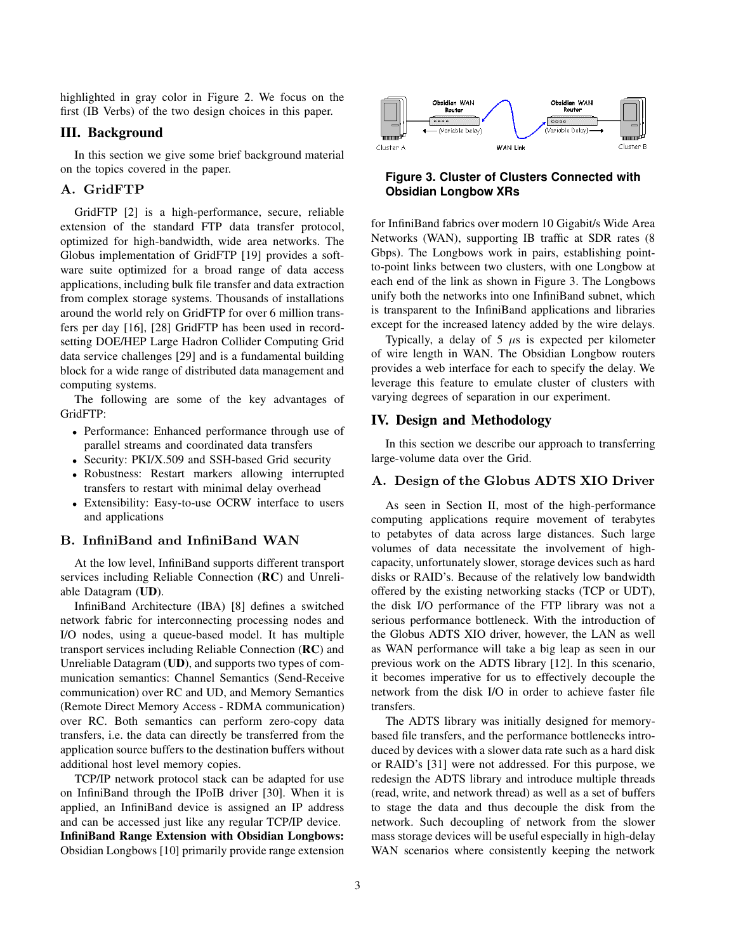highlighted in gray color in Figure 2. We focus on the first (IB Verbs) of the two design choices in this paper.

## **III. Background**

In this section we give some brief background material on the topics covered in the paper.

### A. GridFTP

GridFTP [2] is a high-performance, secure, reliable extension of the standard FTP data transfer protocol, optimized for high-bandwidth, wide area networks. The Globus implementation of GridFTP [19] provides a software suite optimized for a broad range of data access applications, including bulk file transfer and data extraction from complex storage systems. Thousands of installations around the world rely on GridFTP for over 6 million transfers per day [16], [28] GridFTP has been used in recordsetting DOE/HEP Large Hadron Collider Computing Grid data service challenges [29] and is a fundamental building block for a wide range of distributed data management and computing systems.

The following are some of the key advantages of GridFTP:

- Performance: Enhanced performance through use of parallel streams and coordinated data transfers
- Security: PKI/X.509 and SSH-based Grid security
- Robustness: Restart markers allowing interrupted transfers to restart with minimal delay overhead
- Extensibility: Easy-to-use OCRW interface to users and applications

### B. InfiniBand and InfiniBand WAN

At the low level, InfiniBand supports different transport services including Reliable Connection (**RC**) and Unreliable Datagram (**UD**).

InfiniBand Architecture (IBA) [8] defines a switched network fabric for interconnecting processing nodes and I/O nodes, using a queue-based model. It has multiple transport services including Reliable Connection (**RC**) and Unreliable Datagram (**UD**), and supports two types of communication semantics: Channel Semantics (Send-Receive communication) over RC and UD, and Memory Semantics (Remote Direct Memory Access - RDMA communication) over RC. Both semantics can perform zero-copy data transfers, i.e. the data can directly be transferred from the application source buffers to the destination buffers without additional host level memory copies.

TCP/IP network protocol stack can be adapted for use on InfiniBand through the IPoIB driver [30]. When it is applied, an InfiniBand device is assigned an IP address and can be accessed just like any regular TCP/IP device. **InfiniBand Range Extension with Obsidian Longbows:** Obsidian Longbows [10] primarily provide range extension



## **Figure 3. Cluster of Clusters Connected with Obsidian Longbow XRs**

for InfiniBand fabrics over modern 10 Gigabit/s Wide Area Networks (WAN), supporting IB traffic at SDR rates (8 Gbps). The Longbows work in pairs, establishing pointto-point links between two clusters, with one Longbow at each end of the link as shown in Figure 3. The Longbows unify both the networks into one InfiniBand subnet, which is transparent to the InfiniBand applications and libraries except for the increased latency added by the wire delays.

Typically, a delay of 5  $\mu$ s is expected per kilometer of wire length in WAN. The Obsidian Longbow routers provides a web interface for each to specify the delay. We leverage this feature to emulate cluster of clusters with varying degrees of separation in our experiment.

## **IV. Design and Methodology**

In this section we describe our approach to transferring large-volume data over the Grid.

## A. Design of the Globus ADTS XIO Driver

As seen in Section II, most of the high-performance computing applications require movement of terabytes to petabytes of data across large distances. Such large volumes of data necessitate the involvement of highcapacity, unfortunately slower, storage devices such as hard disks or RAID's. Because of the relatively low bandwidth offered by the existing networking stacks (TCP or UDT), the disk I/O performance of the FTP library was not a serious performance bottleneck. With the introduction of the Globus ADTS XIO driver, however, the LAN as well as WAN performance will take a big leap as seen in our previous work on the ADTS library [12]. In this scenario, it becomes imperative for us to effectively decouple the network from the disk I/O in order to achieve faster file transfers.

The ADTS library was initially designed for memorybased file transfers, and the performance bottlenecks introduced by devices with a slower data rate such as a hard disk or RAID's [31] were not addressed. For this purpose, we redesign the ADTS library and introduce multiple threads (read, write, and network thread) as well as a set of buffers to stage the data and thus decouple the disk from the network. Such decoupling of network from the slower mass storage devices will be useful especially in high-delay WAN scenarios where consistently keeping the network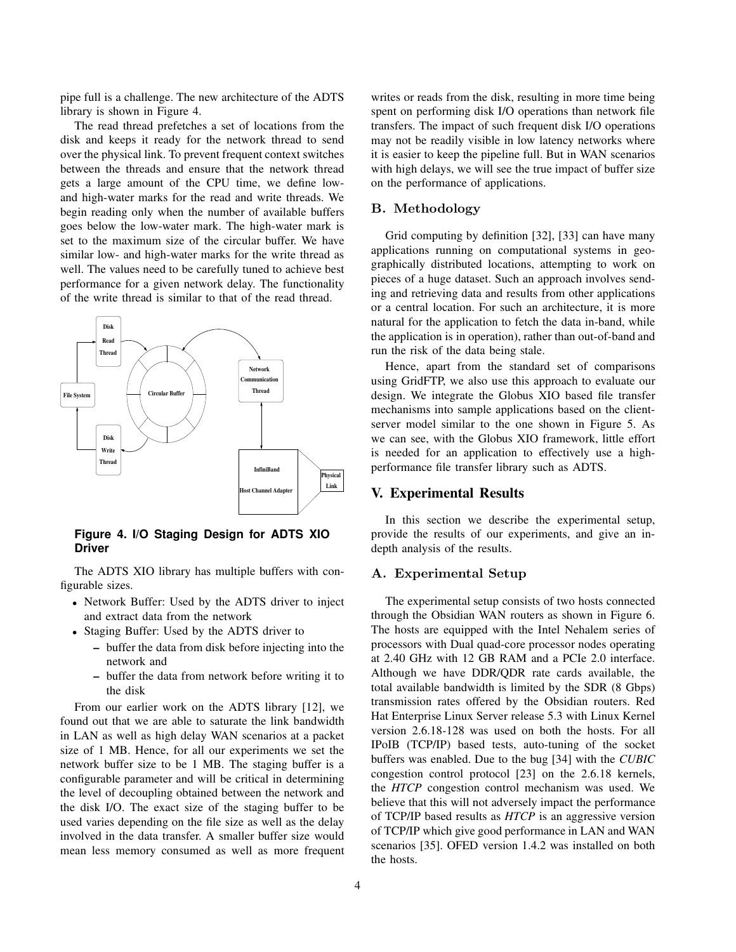pipe full is a challenge. The new architecture of the ADTS library is shown in Figure 4.

The read thread prefetches a set of locations from the disk and keeps it ready for the network thread to send over the physical link. To prevent frequent context switches between the threads and ensure that the network thread gets a large amount of the CPU time, we define lowand high-water marks for the read and write threads. We begin reading only when the number of available buffers goes below the low-water mark. The high-water mark is set to the maximum size of the circular buffer. We have similar low- and high-water marks for the write thread as well. The values need to be carefully tuned to achieve best performance for a given network delay. The functionality of the write thread is similar to that of the read thread.



**Figure 4. I/O Staging Design for ADTS XIO Driver**

The ADTS XIO library has multiple buffers with configurable sizes.

- Network Buffer: Used by the ADTS driver to inject and extract data from the network
- Staging Buffer: Used by the ADTS driver to
	- **–** buffer the data from disk before injecting into the network and
	- **–** buffer the data from network before writing it to the disk

From our earlier work on the ADTS library [12], we found out that we are able to saturate the link bandwidth in LAN as well as high delay WAN scenarios at a packet size of 1 MB. Hence, for all our experiments we set the network buffer size to be 1 MB. The staging buffer is a configurable parameter and will be critical in determining the level of decoupling obtained between the network and the disk I/O. The exact size of the staging buffer to be used varies depending on the file size as well as the delay involved in the data transfer. A smaller buffer size would mean less memory consumed as well as more frequent writes or reads from the disk, resulting in more time being spent on performing disk I/O operations than network file transfers. The impact of such frequent disk I/O operations may not be readily visible in low latency networks where it is easier to keep the pipeline full. But in WAN scenarios with high delays, we will see the true impact of buffer size on the performance of applications.

#### B. Methodology

Grid computing by definition [32], [33] can have many applications running on computational systems in geographically distributed locations, attempting to work on pieces of a huge dataset. Such an approach involves sending and retrieving data and results from other applications or a central location. For such an architecture, it is more natural for the application to fetch the data in-band, while the application is in operation), rather than out-of-band and run the risk of the data being stale.

Hence, apart from the standard set of comparisons using GridFTP, we also use this approach to evaluate our design. We integrate the Globus XIO based file transfer mechanisms into sample applications based on the clientserver model similar to the one shown in Figure 5. As we can see, with the Globus XIO framework, little effort is needed for an application to effectively use a highperformance file transfer library such as ADTS.

## **V. Experimental Results**

In this section we describe the experimental setup, provide the results of our experiments, and give an indepth analysis of the results.

#### A. Experimental Setup

The experimental setup consists of two hosts connected through the Obsidian WAN routers as shown in Figure 6. The hosts are equipped with the Intel Nehalem series of processors with Dual quad-core processor nodes operating at 2.40 GHz with 12 GB RAM and a PCIe 2.0 interface. Although we have DDR/QDR rate cards available, the total available bandwidth is limited by the SDR (8 Gbps) transmission rates offered by the Obsidian routers. Red Hat Enterprise Linux Server release 5.3 with Linux Kernel version 2.6.18-128 was used on both the hosts. For all IPoIB (TCP/IP) based tests, auto-tuning of the socket buffers was enabled. Due to the bug [34] with the *CUBIC* congestion control protocol [23] on the 2.6.18 kernels, the *HTCP* congestion control mechanism was used. We believe that this will not adversely impact the performance of TCP/IP based results as *HTCP* is an aggressive version of TCP/IP which give good performance in LAN and WAN scenarios [35]. OFED version 1.4.2 was installed on both the hosts.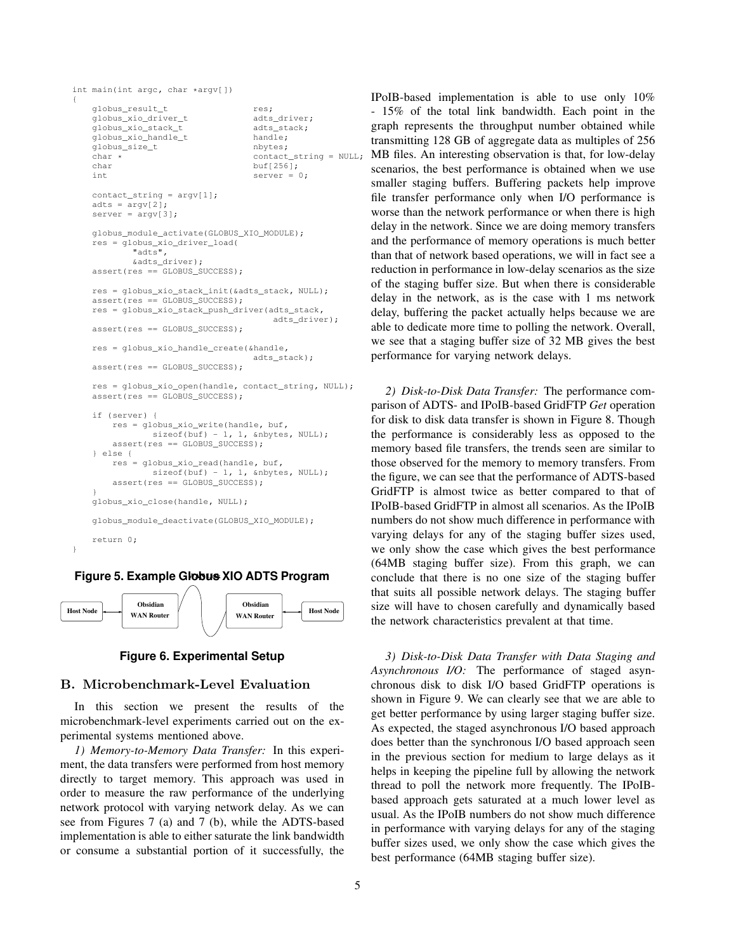```
int main(int argc, char *argv[])
{
   globus_result_t res;<br>qlobus_xio_driver_t adts_driver;
   globus xio driver t
   globus_xio_stack_t adts_stack;
   qlobus xio_handlet handle:
   globus_size_t nbytes;
   char * contact_string = NULL;<br>
char buf[256];
                                   buf [256];
   int server = 0;
   contact\_string = argv[1];adts = argv[2];
   server = argv[3];
   globus_module_activate(GLOBUS_XIO_MODULE);
   res = globus_xio_driver_load(
            "adts",
           &adts_driver);
   assert(res == GLOBUS_SUCCESS);
   res = globus_xio_stack_init(&adts_stack, NULL);
   assert(res == GLOBUS_SUCCESS);
    res = globus_xio_stack_push_driver(adts_stack,
                                       adts_driver);
    assert(res == GLOBUS_SUCCESS);
   res = globus_xio_handle_create(&handle,
                                   adts_stack);
    assert(res == GLOBUS SUCCESS):
    res = globus_xio_open(handle, contact_string, NULL);
   assert(res == GLOBUS_SUCCESS);
    if (server) {
       res = globus_xio_write(handle, buf,
               sizeof(buf) - 1, 1, &nbytes, NULL);
       assert(res == GLOBUS_SUCCESS);
    } else {
       res = globus_xio_read(handle, buf,
               \text{sizeof}(\text{buf}) - 1, 1, \text{anbytes}, \text{NULL};assert(res == GLOBUS SUCCESS);
    }
   globus_xio_close(handle, NULL);
    globus_module_deactivate(GLOBUS_XIO_MODULE);
```
# return 0;

}

#### **Figure 5. Example Globus XIO ADTS Program**



### **Figure 6. Experimental Setup**

#### B. Microbenchmark-Level Evaluation

In this section we present the results of the microbenchmark-level experiments carried out on the experimental systems mentioned above.

*1) Memory-to-Memory Data Transfer:* In this experiment, the data transfers were performed from host memory directly to target memory. This approach was used in order to measure the raw performance of the underlying network protocol with varying network delay. As we can see from Figures 7 (a) and 7 (b), while the ADTS-based implementation is able to either saturate the link bandwidth or consume a substantial portion of it successfully, the IPoIB-based implementation is able to use only 10% - 15% of the total link bandwidth. Each point in the graph represents the throughput number obtained while transmitting 128 GB of aggregate data as multiples of 256 MB files. An interesting observation is that, for low-delay scenarios, the best performance is obtained when we use smaller staging buffers. Buffering packets help improve file transfer performance only when I/O performance is worse than the network performance or when there is high delay in the network. Since we are doing memory transfers and the performance of memory operations is much better than that of network based operations, we will in fact see a reduction in performance in low-delay scenarios as the size of the staging buffer size. But when there is considerable delay in the network, as is the case with 1 ms network delay, buffering the packet actually helps because we are able to dedicate more time to polling the network. Overall, we see that a staging buffer size of 32 MB gives the best performance for varying network delays.

*2) Disk-to-Disk Data Transfer:* The performance comparison of ADTS- and IPoIB-based GridFTP *Get* operation for disk to disk data transfer is shown in Figure 8. Though the performance is considerably less as opposed to the memory based file transfers, the trends seen are similar to those observed for the memory to memory transfers. From the figure, we can see that the performance of ADTS-based GridFTP is almost twice as better compared to that of IPoIB-based GridFTP in almost all scenarios. As the IPoIB numbers do not show much difference in performance with varying delays for any of the staging buffer sizes used, we only show the case which gives the best performance (64MB staging buffer size). From this graph, we can conclude that there is no one size of the staging buffer that suits all possible network delays. The staging buffer size will have to chosen carefully and dynamically based the network characteristics prevalent at that time.

*3) Disk-to-Disk Data Transfer with Data Staging and Asynchronous I/O:* The performance of staged asynchronous disk to disk I/O based GridFTP operations is shown in Figure 9. We can clearly see that we are able to get better performance by using larger staging buffer size. As expected, the staged asynchronous I/O based approach does better than the synchronous I/O based approach seen in the previous section for medium to large delays as it helps in keeping the pipeline full by allowing the network thread to poll the network more frequently. The IPoIBbased approach gets saturated at a much lower level as usual. As the IPoIB numbers do not show much difference in performance with varying delays for any of the staging buffer sizes used, we only show the case which gives the best performance (64MB staging buffer size).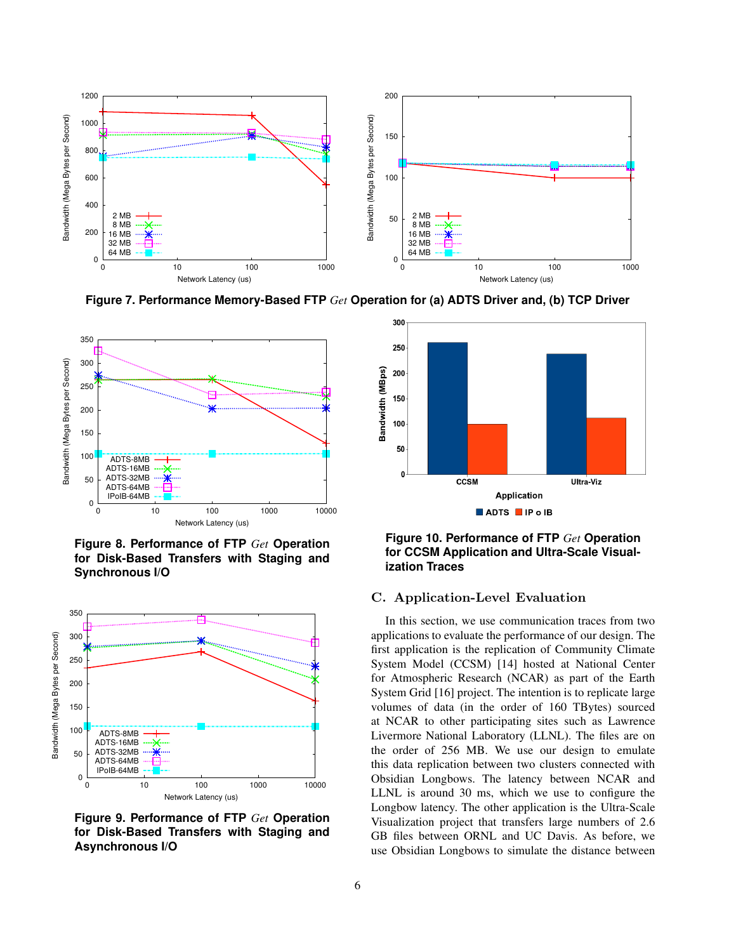

**Figure 7. Performance Memory-Based FTP** *Get* **Operation for (a) ADTS Driver and, (b) TCP Driver**



**Figure 8. Performance of FTP** *Get* **Operation for Disk-Based Transfers with Staging and Synchronous I/O**



**Figure 9. Performance of FTP** *Get* **Operation for Disk-Based Transfers with Staging and Asynchronous I/O**



**Figure 10. Performance of FTP** *Get* **Operation for CCSM Application and Ultra-Scale Visualization Traces**

# C. Application-Level Evaluation

In this section, we use communication traces from two applications to evaluate the performance of our design. The first application is the replication of Community Climate System Model (CCSM) [14] hosted at National Center for Atmospheric Research (NCAR) as part of the Earth System Grid [16] project. The intention is to replicate large volumes of data (in the order of 160 TBytes) sourced at NCAR to other participating sites such as Lawrence Livermore National Laboratory (LLNL). The files are on the order of 256 MB. We use our design to emulate this data replication between two clusters connected with Obsidian Longbows. The latency between NCAR and LLNL is around 30 ms, which we use to configure the Longbow latency. The other application is the Ultra-Scale Visualization project that transfers large numbers of 2.6 GB files between ORNL and UC Davis. As before, we use Obsidian Longbows to simulate the distance between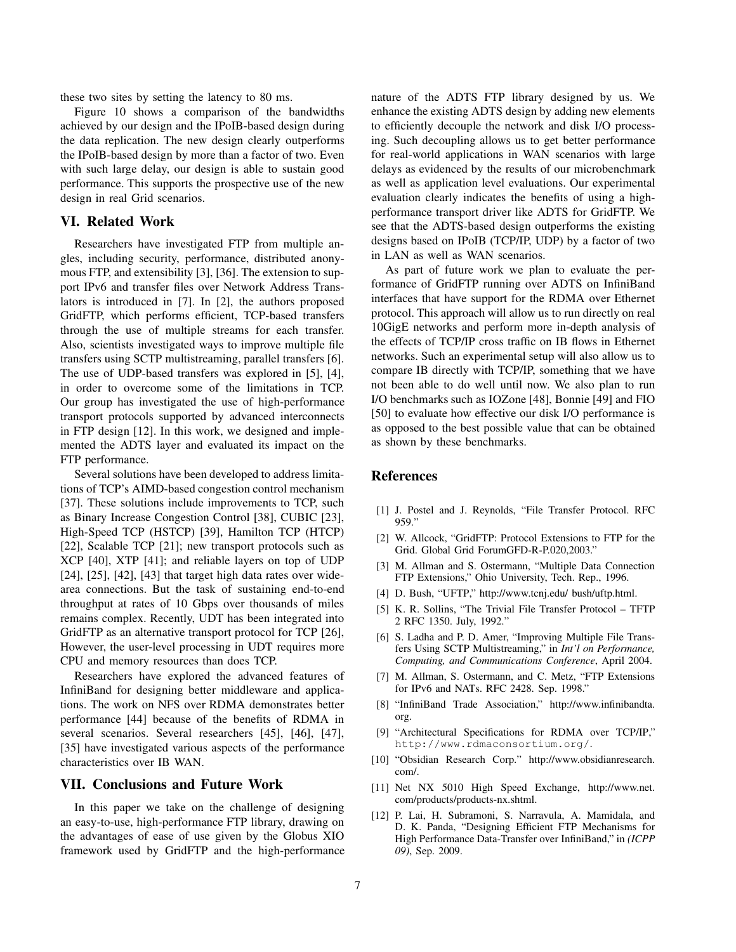these two sites by setting the latency to 80 ms.

Figure 10 shows a comparison of the bandwidths achieved by our design and the IPoIB-based design during the data replication. The new design clearly outperforms the IPoIB-based design by more than a factor of two. Even with such large delay, our design is able to sustain good performance. This supports the prospective use of the new design in real Grid scenarios.

## **VI. Related Work**

Researchers have investigated FTP from multiple angles, including security, performance, distributed anonymous FTP, and extensibility [3], [36]. The extension to support IPv6 and transfer files over Network Address Translators is introduced in [7]. In [2], the authors proposed GridFTP, which performs efficient, TCP-based transfers through the use of multiple streams for each transfer. Also, scientists investigated ways to improve multiple file transfers using SCTP multistreaming, parallel transfers [6]. The use of UDP-based transfers was explored in [5], [4], in order to overcome some of the limitations in TCP. Our group has investigated the use of high-performance transport protocols supported by advanced interconnects in FTP design [12]. In this work, we designed and implemented the ADTS layer and evaluated its impact on the FTP performance.

Several solutions have been developed to address limitations of TCP's AIMD-based congestion control mechanism [37]. These solutions include improvements to TCP, such as Binary Increase Congestion Control [38], CUBIC [23], High-Speed TCP (HSTCP) [39], Hamilton TCP (HTCP) [22], Scalable TCP [21]; new transport protocols such as XCP [40], XTP [41]; and reliable layers on top of UDP [24], [25], [42], [43] that target high data rates over widearea connections. But the task of sustaining end-to-end throughput at rates of 10 Gbps over thousands of miles remains complex. Recently, UDT has been integrated into GridFTP as an alternative transport protocol for TCP [26], However, the user-level processing in UDT requires more CPU and memory resources than does TCP.

Researchers have explored the advanced features of InfiniBand for designing better middleware and applications. The work on NFS over RDMA demonstrates better performance [44] because of the benefits of RDMA in several scenarios. Several researchers [45], [46], [47], [35] have investigated various aspects of the performance characteristics over IB WAN.

#### **VII. Conclusions and Future Work**

In this paper we take on the challenge of designing an easy-to-use, high-performance FTP library, drawing on the advantages of ease of use given by the Globus XIO framework used by GridFTP and the high-performance nature of the ADTS FTP library designed by us. We enhance the existing ADTS design by adding new elements to efficiently decouple the network and disk I/O processing. Such decoupling allows us to get better performance for real-world applications in WAN scenarios with large delays as evidenced by the results of our microbenchmark as well as application level evaluations. Our experimental evaluation clearly indicates the benefits of using a highperformance transport driver like ADTS for GridFTP. We see that the ADTS-based design outperforms the existing designs based on IPoIB (TCP/IP, UDP) by a factor of two in LAN as well as WAN scenarios.

As part of future work we plan to evaluate the performance of GridFTP running over ADTS on InfiniBand interfaces that have support for the RDMA over Ethernet protocol. This approach will allow us to run directly on real 10GigE networks and perform more in-depth analysis of the effects of TCP/IP cross traffic on IB flows in Ethernet networks. Such an experimental setup will also allow us to compare IB directly with TCP/IP, something that we have not been able to do well until now. We also plan to run I/O benchmarks such as IOZone [48], Bonnie [49] and FIO [50] to evaluate how effective our disk I/O performance is as opposed to the best possible value that can be obtained as shown by these benchmarks.

# **References**

- [1] J. Postel and J. Reynolds, "File Transfer Protocol. RFC 959."
- [2] W. Allcock, "GridFTP: Protocol Extensions to FTP for the Grid. Global Grid ForumGFD-R-P.020,2003."
- [3] M. Allman and S. Ostermann, "Multiple Data Connection FTP Extensions," Ohio University, Tech. Rep., 1996.
- [4] D. Bush, "UFTP," http://www.tcnj.edu/ bush/uftp.html.
- [5] K. R. Sollins, "The Trivial File Transfer Protocol TFTP 2 RFC 1350. July, 1992."
- [6] S. Ladha and P. D. Amer, "Improving Multiple File Transfers Using SCTP Multistreaming," in *Int'l on Performance, Computing, and Communications Conference*, April 2004.
- [7] M. Allman, S. Ostermann, and C. Metz, "FTP Extensions for IPv6 and NATs. RFC 2428. Sep. 1998."
- [8] "InfiniBand Trade Association," http://www.infinibandta. org.
- [9] "Architectural Specifications for RDMA over TCP/IP," http://www.rdmaconsortium.org/.
- [10] "Obsidian Research Corp." http://www.obsidianresearch. com/.
- [11] Net NX 5010 High Speed Exchange, http://www.net. com/products/products-nx.shtml.
- [12] P. Lai, H. Subramoni, S. Narravula, A. Mamidala, and D. K. Panda, "Designing Efficient FTP Mechanisms for High Performance Data-Transfer over InfiniBand," in *(ICPP 09)*, Sep. 2009.